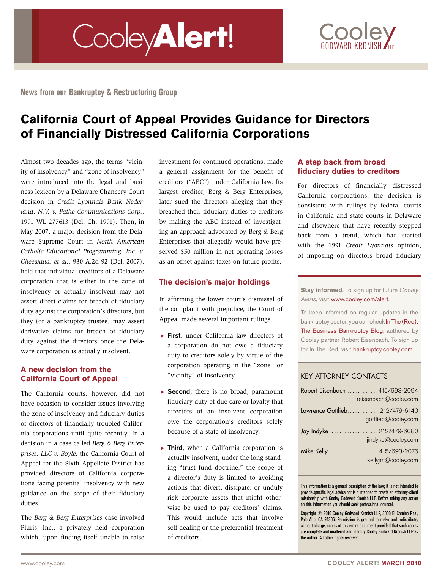# Cooley**Alert**!



**News from our Bankruptcy & Restructuring Group**

# **California Court of Appeal Provides Guidance for Directors of Financially Distressed California Corporations**

Almost two decades ago, the terms "vicinity of insolvency" and "zone of insolvency" were introduced into the legal and business lexicon by a Delaware Chancery Court decision in *Credit Lyonnais Bank Nederland, N.V. v. Pathe Communications Corp.,* 1991 WL 277613 (Del. Ch. 1991). Then, in May 2007, a major decision from the Delaware Supreme Court in *North American Catholic Educational Programming, Inc. v. Gheewalla, et al.,* 930 A.2d 92 (Del. 2007), held that individual creditors of a Delaware corporation that is either in the zone of insolvency or actually insolvent may not assert direct claims for breach of fiduciary duty against the corporation's directors, but they (or a bankruptcy trustee) may assert derivative claims for breach of fiduciary duty against the directors once the Delaware corporation is actually insolvent.

### **A new decision from the California Court of Appeal**

The California courts, however, did not have occasion to consider issues involving the zone of insolvency and fiduciary duties of directors of financially troubled California corporations until quite recently. In a decision in a case called *Berg & Berg Enterprises, LLC v. Boyle,* the California Court of Appeal for the Sixth Appellate District has provided directors of California corporations facing potential insolvency with new guidance on the scope of their fiduciary duties.

The *Berg & Berg Enterprises* case involved Pluris, Inc., a privately held corporation which, upon finding itself unable to raise investment for continued operations, made a general assignment for the benefit of creditors ("ABC") under California law. Its largest creditor, Berg & Berg Enterprises, later sued the directors alleging that they breached their fiduciary duties to creditors by making the ABC instead of investigating an approach advocated by Berg & Berg Enterprises that allegedly would have preserved \$50 million in net operating losses as an offset against taxes on future profits.

#### **The decision's major holdings**

In affirming the lower court's dismissal of the complaint with prejudice, the Court of Appeal made several important rulings.

- $\triangleright$  First, under California law directors of a corporation do not owe a fiduciary duty to creditors solely by virtue of the corporation operating in the "zone" or "vicinity" of insolvency.
- $\triangleright$  Second, there is no broad, paramount fiduciary duty of due care or loyalty that directors of an insolvent corporation owe the corporation's creditors solely because of a state of insolvency.
- $\triangleright$  Third, when a California corporation is actually insolvent, under the long-standing "trust fund doctrine," the scope of a director's duty is limited to avoiding actions that divert, dissipate, or unduly risk corporate assets that might otherwise be used to pay creditors' claims. This would include acts that involve self-dealing or the preferential treatment of creditors.

#### **A step back from broad fiduciary duties to creditors**

For directors of financially distressed California corporations, the decision is consistent with rulings by federal courts in California and state courts in Delaware and elsewhere that have recently stepped back from a trend, which had started with the 1991 *Credit Lyonnais* opinion, of imposing on directors broad fiduciary

**Stay informed.** To sign up for future *Cooley Alerts*, visit www.cooley.com/alert.

To keep informed on regular updates in the bankruptcy sector, you can check In The (Red): The Business Bankruptcy Blog, authored by Cooley partner Robert Eisenbach. To sign up for In The Red, visit bankruptcy.cooley.com.

## Key Attorney Contacts

| Robert Eisenbach  415/693-2094<br>reisenbach@cooley.com |
|---------------------------------------------------------|
| Lawrence Gottlieb 212/479-6140<br>lgottlieb@cooley.com  |
| Jay Indyke212/479-6080<br>jindyke@cooley.com            |
| Mike Kelly  415/693-2076<br>kellyjm@cooley.com          |
|                                                         |

This information is a general description of the law; it is not intended to provide specific legal advice nor is it intended to create an attorney-client relationship with Cooley Godward Kronish LLP. Before taking any action on this information you should seek professional counsel.

Copyright © 2010 Cooley Godward Kronish LLP, 3000 El Camino Real, Palo Alto, CA 94306. Permission is granted to make and redistribute, without charge, copies of this entire document provided that such copies are complete and unaltered and identify Cooley Godward Kronish LLP as the author. All other rights reserved.